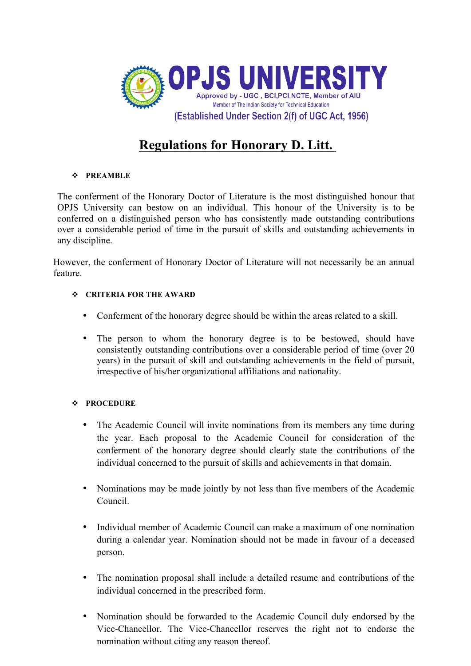

## **Regulations for Honorary D. Litt.**

## v **PREAMBLE**

The conferment of the Honorary Doctor of Literature is the most distinguished honour that OPJS University can bestow on an individual. This honour of the University is to be conferred on a distinguished person who has consistently made outstanding contributions over a considerable period of time in the pursuit of skills and outstanding achievements in any discipline.

However, the conferment of Honorary Doctor of Literature will not necessarily be an annual feature.

## v **CRITERIA FOR THE AWARD**

- Conferment of the honorary degree should be within the areas related to a skill.
- The person to whom the honorary degree is to be bestowed, should have consistently outstanding contributions over a considerable period of time (over 20 years) in the pursuit of skill and outstanding achievements in the field of pursuit, irrespective of his/her organizational affiliations and nationality.

## v **PROCEDURE**

- The Academic Council will invite nominations from its members any time during the year. Each proposal to the Academic Council for consideration of the conferment of the honorary degree should clearly state the contributions of the individual concerned to the pursuit of skills and achievements in that domain.
- Nominations may be made jointly by not less than five members of the Academic Council.
- Individual member of Academic Council can make a maximum of one nomination during a calendar year. Nomination should not be made in favour of a deceased person.
- The nomination proposal shall include a detailed resume and contributions of the individual concerned in the prescribed form.
- Nomination should be forwarded to the Academic Council duly endorsed by the Vice-Chancellor. The Vice-Chancellor reserves the right not to endorse the nomination without citing any reason thereof.